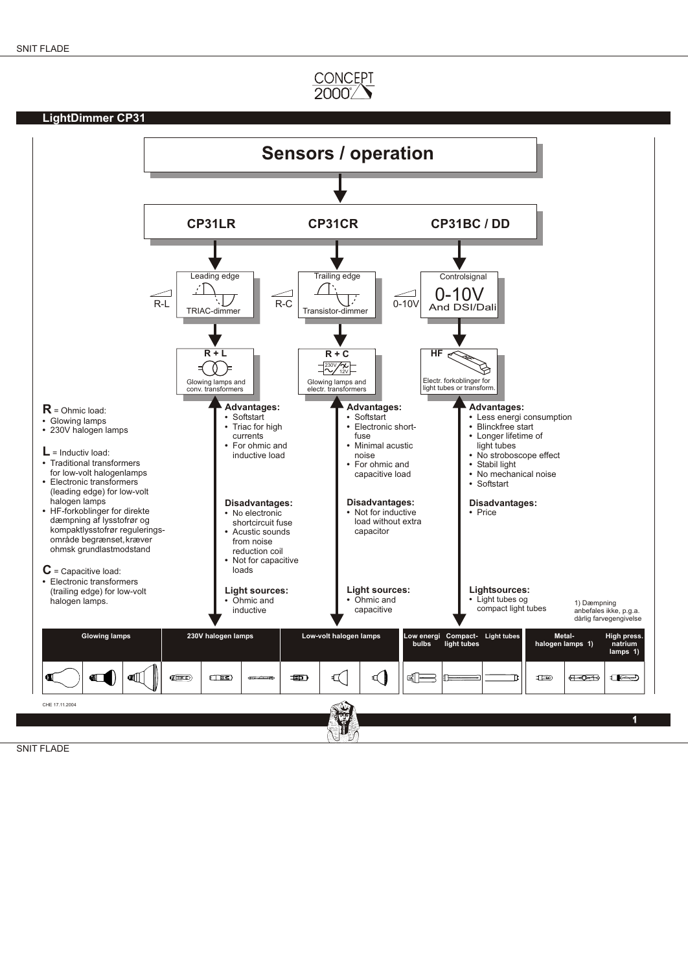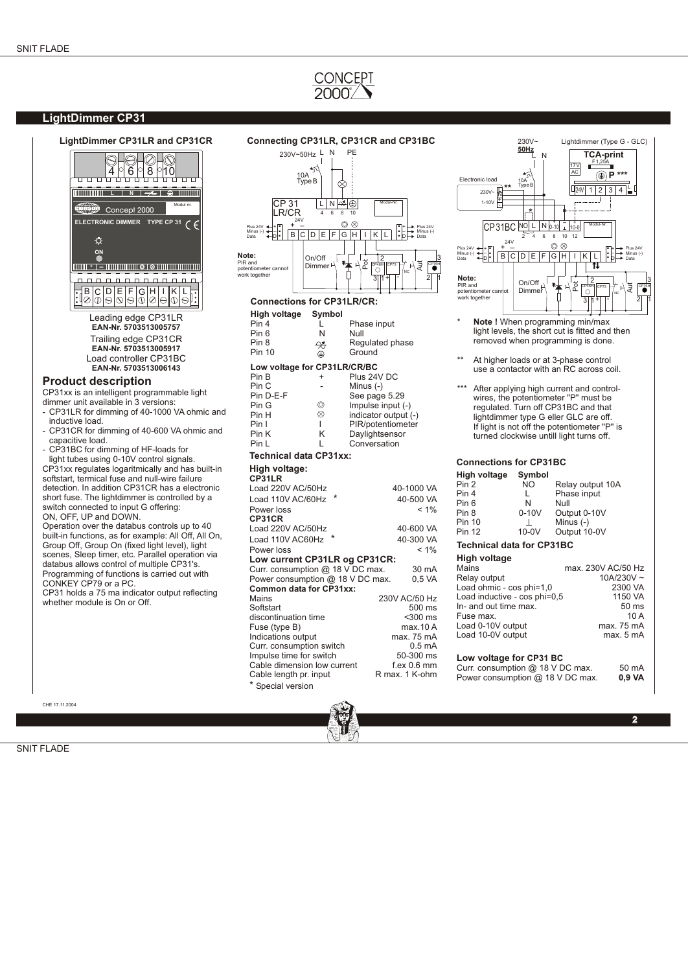### **LightDimmer CP31**



CHE 17.11.2004

#### PE 230V~50Hz L N 10A TypeB  $\otimes$  $L N \otimes \otimes$ CP 31 LR/CR Modul-Nr. 4 6 8 10 .<br>ר -<br>7 24V  $\circledcirc$  $\overline{ }$ . . + Plus 24V + . . + Plus 24V  $\mathbb{I}$  $\overline{\phantom{a}}$ Minus (-)  $B C D E F G H L K L$ Minus (-) Data D Dŀ Data **Note:**  $On/Off$ 2 3  $\begin{array}{c}\n\text{Dimmer} \\
\downarrow \\
\downarrow \\
\downarrow\n\end{array}$ ក្ដី ក្ PIR and potentiometer cannot work together ا نج<br>م  $\Gamma_{\rm eff}$ NC  $311 + 1.$  $\overline{1}$   $\overline{1}$   $\overline{1}$   $\overline{1}$   $\overline{1}$   $\overline{2}$   $\overline{1}$   $\overline{2}$   $\overline{1}$ **Connections for CP31LR/CR: High voltage Symbol** L Phase input<br>N Null

Pin 6<br>Pin 8 Pin 8  $\frac{A}{C}$  Regulated phase<br>Pin 10  $\oplus$  Ground  $\Leftrightarrow$  Ground **Low voltage for CP31LR/CR/BC**<br>Pin B + Plus 24 Pin B + Plus 24V DC<br>Pin C - Minus (-) Pin C - Minus (-)<br>Pin D-E-F See page Pin D-E-F See page 5.29 Pin G  $\circ$  Impulse input (-)<br>Pin H  $\circ$  indicator output ( Pin H  $\otimes$  indicator output (-)<br>Pin I PIR/potentiometer Pin I I PIR/potentiometer<br>Pin K K Daylightsensor Pin K K Daylightsensor<br>Pin L L Conversation Conversation

#### **Technical data CP31xx:**

| High voltage:<br>CP31LR          |                  |
|----------------------------------|------------------|
| Load 220V AC/50Hz                | 40-1000 VA       |
| Load 110V AC/60Hz                | 40-500 VA        |
| Power loss                       | $< 1\%$          |
| CP31CR                           |                  |
| Load 220V AC/50Hz                | 40-600 VA        |
| Load 110V AC60Hz                 | 40-300 VA        |
| Power loss                       | $< 1\%$          |
| Low current CP31LR og CP31CR:    |                  |
| Curr. consumption @ 18 V DC max. | 30 mA            |
| Power consumption @ 18 V DC max. | 0,5 VA           |
| Common data for CP31xx:          |                  |
| Mains                            | 230V AC/50 Hz    |
| Softstart                        | $500$ ms         |
| discontinuation time             | $300$ ms         |
| Fuse (type B)                    | max.10 A         |
| Indications output               | max. 75 mA       |
| Curr. consumption switch         | $0.5 \text{ mA}$ |
| Impulse time for switch          | 50-300 ms        |
| Cable dimension low current      | f ex 0.6 mm      |
| Cable length pr. input           | R max. 1 K-ohm   |
| * Special version                |                  |



- Note ! When programming min/max light levels, the short cut is fitted and then removed when programming is done.
- \*\* At higher loads or at 3-phase control use a contactor with an RC across coil.
- After applying high current and controlwires, the potentiometer "P" must be regulated. Turn off CP31BC and that lightdimmer type G eller GLC are off. If light is not off the potentiometer "P" is turned clockwise untill light turns off.

#### **Connections for CP31BC High voltage Symbol**

| <b>High voltage</b>              | ovmbol       |                  |
|----------------------------------|--------------|------------------|
| Pin 2                            | NO.          | Relay output 10A |
| Pin 4                            | L            | Phase input      |
| Pin 6                            | N            | Null             |
| Pin 8                            | $0-10V$      | Output 0-10V     |
| Pin 10                           | $\mathbf{I}$ | Minus $(-)$      |
| <b>Pin 12</b>                    | $10-0V$      | Output 10-0V     |
| <b>Technical data for CP31BC</b> |              |                  |

### **High voltage**

| піцні уопаце                     |                    |
|----------------------------------|--------------------|
| Mains                            | max. 230V AC/50 Hz |
| Relay output                     | $10A/230V \sim$    |
| Load ohmic - cos phi=1,0         | 2300 VA            |
| Load inductive - cos phi=0,5     | 1150 VA            |
| In- and out time max.            | 50 <sub>ms</sub>   |
| Fuse max.                        | 10A                |
| Load 0-10V output                | max. 75 mA         |
| Load 10-0V output                | max. 5 mA          |
|                                  |                    |
| Low voltage for CP31 BC          |                    |
| Curr. consumption @ 18 V DC max. | 50 mA              |
| Power consumption @ 18 V DC max. | 0.9 VA             |

**Side** 2.03 **2**

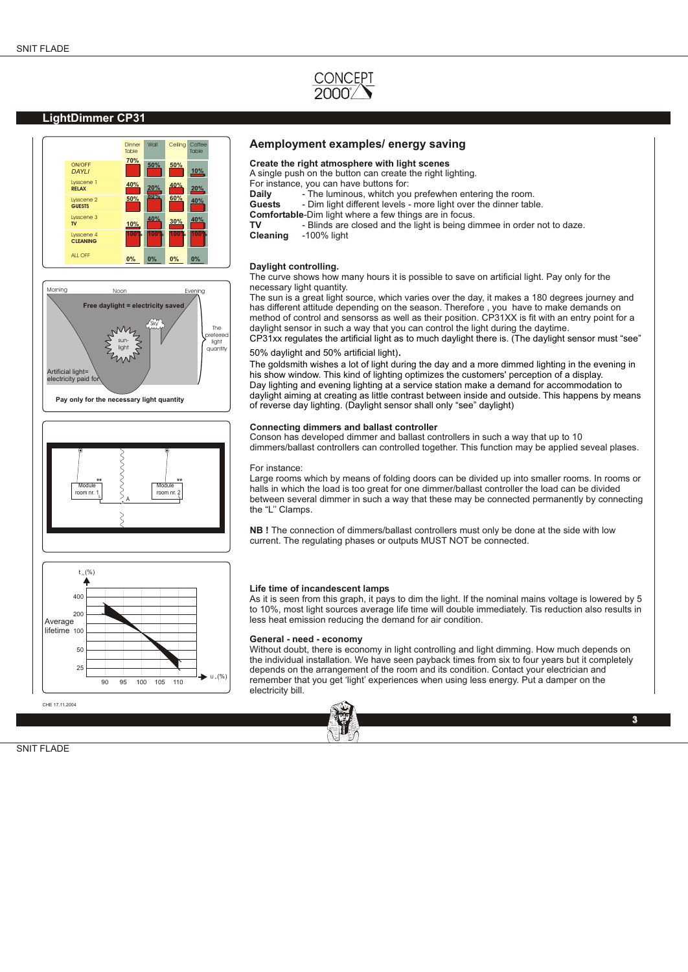

### **LightDimmer CP31**





**Pay only for the necessary light quantity**





CHE 17.11.2004

#### **Aemployment examples/ energy saving**

#### **Create the right atmosphere with light scenes**

A single push on the button can create the right lighting.

- For instance, you can have buttons for:<br> **Daily** external the luminous, whitch you
- **Daily** The luminous, whitch you prefewhen entering the room.<br> **Guests** Dim light different levels more light over the dinner tab
- Dim light different levels more light over the dinner table.
- **Comfortable-**Dim light where a few things are in focus.<br>**TV** Blinds are closed and the light is being div
- **TV** Blinds are closed and the light is being dimmee in order not to daze.<br>**Cleaning** -100% light
- **Cleaning** -100% light

#### **Daylight controlling.**

The curve shows how many hours it is possible to save on artificial light. Pay only for the necessary light quantity.

The sun is a great light source, which varies over the day, it makes a 180 degrees journey and has different attitude depending on the season. Therefore , you have to make demands on method of control and sensorss as well as their position. CP31XX is fit with an entry point for a daylight sensor in such a way that you can control the light during the daytime. CP31xx regulates the artificial light as to much daylight there is. (The daylight sensor must "see"

#### 50% daylight and 50% artificial light).

The goldsmith wishes a lot of light during the day and a more dimmed lighting in the evening in his show window. This kind of lighting optimizes the customers' perception of a display. Day lighting and evening lighting at a service station make a demand for accommodation to daylight aiming at creating as little contrast between inside and outside. This happens by means of reverse day lighting. (Daylight sensor shall only "see" daylight)

#### **Connecting dimmers and ballast controller**

Conson has developed dimmer and ballast controllers in such a way that up to 10 dimmers/ballast controllers can controlled together. This function may be applied seveal plases.

#### For instance:

Large rooms which by means of folding doors can be divided up into smaller rooms. In rooms or halls in which the load is too great for one dimmer/ballast controller the load can be divided between several dimmer in such a way that these may be connected permanently by connecting the "L'' Clamps.

**NB !** The connection of dimmers/ballast controllers must only be done at the side with low current. The regulating phases or outputs MUST NOT be connected.

#### **Life time of incandescent lamps**

As it is seen from this graph, it pays to dim the light. If the nominal mains voltage is lowered by 5 to 10%, most light sources average life time will double immediately. Tis reduction also results in less heat emission reducing the demand for air condition.

#### **General - need - economy**

Without doubt, there is economy in light controlling and light dimming. How much depends on the individual installation. We have seen payback times from six to four years but it completely depends on the arrangement of the room and its condition. Contact your electrician and remember that you get 'light' experiences when using less energy. Put a damper on the electricity bill.



**3**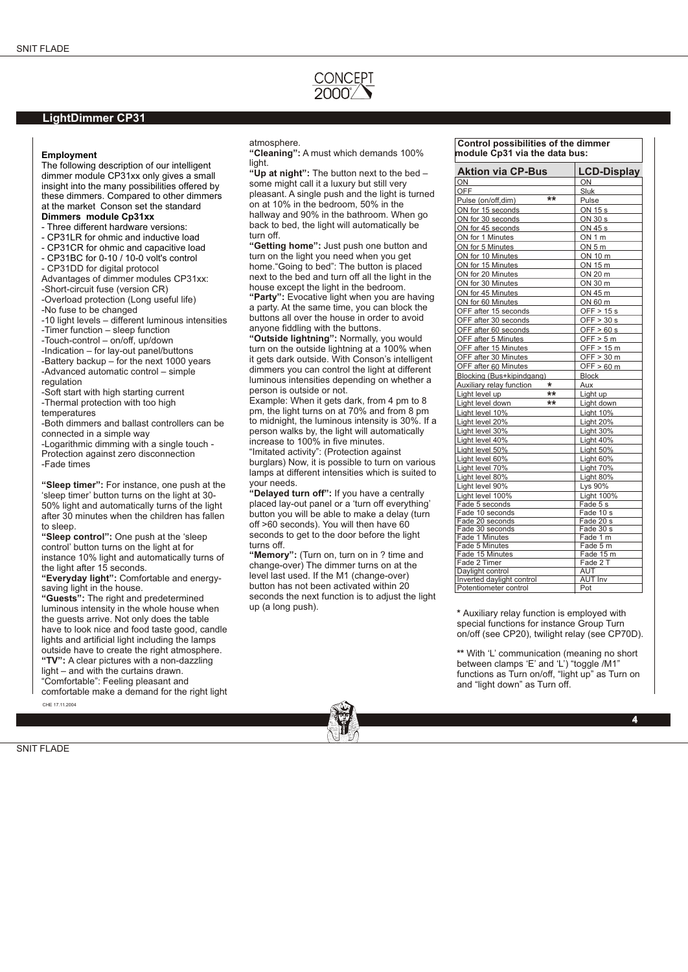

### **LightDimmer CP31**

#### **Employment**

The following description of our intelligent dimmer module CP31xx only gives a small insight into the many possibilities offered by these dimmers. Compared to other dimmers at the market Conson set the standard

### **Dimmers module Cp31xx**

- Three different hardware versions:
- CP31LR for ohmic and inductive load
- CP31CR for ohmic and capacitive load
- CP31BC for 0-10 / 10-0 volt's control
- CP31DD for digital protocol
- Advantages of dimmer modules CP31xx:
- -Short-circuit fuse (version CR)
- -Overload protection (Long useful life)
- -No fuse to be changed
- -10 light levels different luminous intensities -Timer function – sleep function
- -Touch-control on/off, up/down
- -Indication for lay-out panel/buttons
- -Battery backup for the next 1000 years
- -Advanced automatic control simple regulation
- -Soft start with high starting current -Thermal protection with too high
- temperatures
- -Both dimmers and ballast controllers can be connected in a simple way
- -Logarithmic dimming with a single touch Protection against zero disconnection -Fade times
- **"Sleep timer":** For instance, one push at the 'sleep timer' button turns on the light at 30- 50% light and automatically turns of the light after 30 minutes when the children has fallen to sleep.
- **"Sleep control":** One push at the 'sleep control' button turns on the light at for instance 10% light and automatically turns of the light after 15 seconds.
- **"Everyday light":** Comfortable and energysaving light in the house.
- **"Guests":** The right and predetermined luminous intensity in the whole house when the guests arrive. Not only does the table have to look nice and food taste good, candle lights and artificial light including the lamps outside have to create the right atmosphere. **"TV":** A clear pictures with a non-dazzling light – and with the curtains drawn.
- "Comfortable": Feeling pleasant and
- comfortable make a demand for the right light CHE 17.11.2004

atmosphere.

**"Cleaning":** A must which demands 100% light.

**"Up at night":** The button next to the bed – some might call it a luxury but still very pleasant. A single push and the light is turned on at 10% in the bedroom, 50% in the hallway and 90% in the bathroom. When go back to bed, the light will automatically be turn off.

**"Getting home":** Just push one button and turn on the light you need when you get home."Going to bed": The button is placed next to the bed and turn off all the light in the house except the light in the bedroom.

**"Party":** Evocative light when you are having a party. At the same time, you can block the buttons all over the house in order to avoid anyone fiddling with the buttons.

**"Outside lightning":** Normally, you would turn on the outside lightning at a 100% when it gets dark outside. With Conson's intelligent dimmers you can control the light at different luminous intensities depending on whether a person is outside or not.

Example: When it gets dark, from 4 pm to 8 pm, the light turns on at 70% and from 8 pm to midnight, the luminous intensity is 30%. If a person walks by, the light will automatically increase to 100% in five minutes.

"Imitated activity": (Protection against burglars) Now, it is possible to turn on various lamps at different intensities which is suited to your needs.

**"Delayed turn off":** If you have a centrally placed lay-out panel or a 'turn off everything' button you will be able to make a delay (turn off >60 seconds). You will then have 60 seconds to get to the door before the light turns off.

**"Memory":** (Turn on, turn on in ? time and change-over) The dimmer turns on at the level last used. If the M1 (change-over) button has not been activated within 20 seconds the next function is to adjust the light up (a long push).

 **Control possibilities of the dimmer module Cp31 via the data bus:**

| <b>Aktion via CP-Bus</b>          | <b>LCD-Display</b>    |
|-----------------------------------|-----------------------|
| ON                                | ON                    |
| OFF                               | Sluk                  |
| Pulse (on/off,dim)                | **<br>Pulse           |
| ON for 15 seconds                 | ON 15 s               |
| ON for 30 seconds                 | ON 30 s               |
| ON for 45 seconds                 | ON 45 s               |
| ON for 1 Minutes                  | ON 1 m                |
| ON for 5 Minutes                  | ON 5 m                |
| ON for 10 Minutes                 | ON 10 m               |
| ON for 15 Minutes                 | ON 15 m               |
| ON for 20 Minutes                 | ON 20 m               |
| ON for 30 Minutes                 | ON 30 m               |
| ON for 45 Minutes                 | ON 45 m               |
| ON for 60 Minutes                 | ON 60 m               |
| OFF after 15 seconds              | OFF > 15s             |
| OFF after 30 seconds              | OFF > 30 s            |
| OFF after 60 seconds              | OFF $> 60 s$          |
| OFF after 5 Minutes               | OFF > 5 m             |
| OFF after 15 Minutes              | OFF > 15 m            |
| OFF after 30 Minutes              | OFF > 30 m            |
| OFF after 60 Minutes              | OFF > 60 m            |
| Blocking (Bus+kipindgang)         | Block                 |
| Auxiliary relay function          | $\star$<br>Aux        |
| Light level up                    | $**$<br>Light up      |
| Light level down                  | $***$<br>Light down   |
| Light level 10%                   | Light 10%             |
| Light level 20%                   | Light 20%             |
| Light level 30%                   | Light 30%             |
| Light level 40%                   | Light 40%             |
| Light level 50%                   | Light 50%             |
| Light level 60%                   | Light 60%             |
| Light level 70%                   | Light 70%             |
| Light level 80%                   | Light 80%             |
| Light level 90%                   | Lys 90%               |
| Light level 100%                  | <b>Light 100%</b>     |
| Fade 5 seconds                    | Fade 5 s              |
| Fade 10 seconds                   | Fade 10 s             |
| Fade 20 seconds                   | Fade 20 s             |
| Fade 30 seconds<br>Fade 1 Minutes | Fade 30 s<br>Fade 1 m |
| Fade 5 Minutes                    | Fade 5 m              |
| Fade 15 Minutes                   | Fade 15 m             |
| Fade 2 Timer                      | Fade 2 T              |
| Daylight control                  | <b>AUT</b>            |
| Inverted daylight control         | <b>AUT Inv</b>        |
| Potentiometer control             | Pot                   |

**\*** Auxiliary relay function is employed with special functions for instance Group Turn on/off (see CP20), twilight relay (see CP70D).

**\*\*** With 'L' communication (meaning no short between clamps 'E' and 'L') "toggle /M1" functions as Turn on/off, "light up" as Turn on and "light down" as Turn off.

**4**

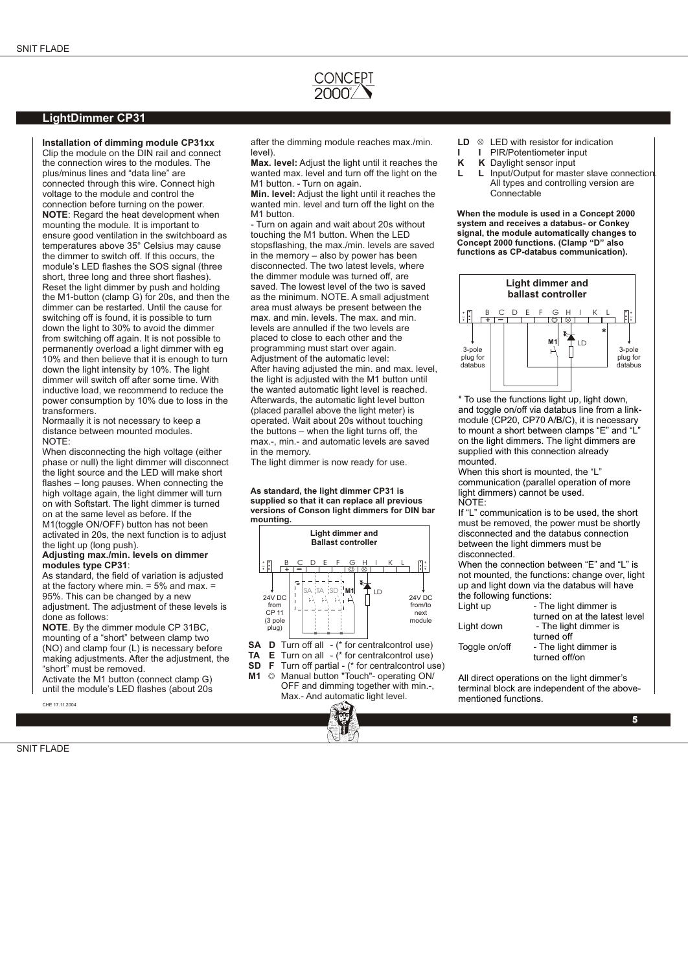### **LightDimmer CP31**

#### **Installation of dimming module CP31xx** Clip the module on the DIN rail and connect

the connection wires to the modules. The plus/minus lines and "data line" are connected through this wire. Connect high voltage to the module and control the connection before turning on the power. **NOTE**: Regard the heat development when mounting the module. It is important to ensure good ventilation in the switchboard as temperatures above 35° Celsius may cause the dimmer to switch off. If this occurs, the module's LED flashes the SOS signal (three short, three long and three short flashes). Reset the light dimmer by push and holding the M1-button (clamp G) for 20s, and then the dimmer can be restarted. Until the cause for switching off is found, it is possible to turn down the light to 30% to avoid the dimmer from switching off again. It is not possible to permanently overload a light dimmer with eg 10% and then believe that it is enough to turn down the light intensity by 10%. The light dimmer will switch off after some time. With inductive load, we recommend to reduce the power consumption by 10% due to loss in the transformers.

Normaally it is not necessary to keep a distance between mounted modules. NOTE:

When disconnecting the high voltage (either phase or null) the light dimmer will disconnect the light source and the LED will make short flashes – long pauses. When connecting the high voltage again, the light dimmer will turn on with Softstart. The light dimmer is turned on at the same level as before. If the M1(toggle ON/OFF) button has not been activated in 20s, the next function is to adjust the light up (long push).

#### **Adjusting max./min. levels on dimmer modules type CP31**:

As standard, the field of variation is adjusted at the factory where min.  $= 5\%$  and max.  $=$ 95%. This can be changed by a new adjustment. The adjustment of these levels is

done as follows: **NOTE**. By the dimmer module CP 31BC, mounting of a "short" between clamp two (NO) and clamp four (L) is necessary before making adjustments. After the adjustment, the "short" must be removed.

Activate the M1 button (connect clamp G) until the module's LED flashes (about 20s

CHE 17.11.2004

after the dimming module reaches max./min. level).

**Max. level:** Adjust the light until it reaches the wanted max. level and turn off the light on the M1 button. - Turn on again.

**Min. level:** Adjust the light until it reaches the wanted min. level and turn off the light on the M1 button.

- Turn on again and wait about 20s without touching the M1 button. When the LED stopsflashing, the max./min. levels are saved in the memory – also by power has been disconnected. The two latest levels, where the dimmer module was turned off, are saved. The lowest level of the two is saved as the minimum. NOTE. A small adjustment area must always be present between the max. and min. levels. The max. and min. levels are annulled if the two levels are placed to close to each other and the programming must start over again. Adjustment of the automatic level: After having adjusted the min. and max. level, the light is adjusted with the M1 button until the wanted automatic light level is reached. Afterwards, the automatic light level button (placed parallel above the light meter) is operated. Wait about 20s without touching the buttons – when the light turns off, the max.-, min.- and automatic levels are saved in the memory.

The light dimmer is now ready for use.

**As standard, the light dimmer CP31 is supplied so that it can replace all previous versions of Conson light dimmers for DIN bar mounting.**

|                                                  | <b>Light dimmer and</b><br><b>Ballast controller</b>                                            |  |  |  |  |  |  |  |
|--------------------------------------------------|-------------------------------------------------------------------------------------------------|--|--|--|--|--|--|--|
| R<br>24V DC<br>from<br>CP 11<br>(3 pole<br>plug) | Κ<br>С<br>F<br>G<br>F<br>⋤<br>. TA SD<br>SA<br><b>ID</b><br>24V DC<br>from/to<br>next<br>module |  |  |  |  |  |  |  |

- **SA D** Turn off all  $-(*)$  for centralcontrol use)<br>**TA F** Turn on all  $-(*)$  for centralcontrol use)
- **TA E** Turn on all  $-(*)$  for centralcontrol use)<br>**SD F** Turn off partial  $(*)$  for centralcontrol use

Max.- And automatic light level.

**SD F** Turn off partial - (\* for centralcontrol use)<br>**M1**  $\oslash$  Manual button "Touch"- operating ON/ Manual button "Touch"- operating ON/ OFF and dimming together with min.-,

- **LD**  $\otimes$  LED with resistor for indication
- **I I** PIR/Potentiometer input<br>**K K** Davlight sensor input
- **K** Daylight sensor input
- **L** L Input/Output for master slave connection All types and controlling version are Connectable

**When the module is used in a Concept 2000 system and receives a databus- or Conkey signal, the module automatically changes to Concept 2000 functions. (Clamp "D" also functions as CP-databus communication).**



\* To use the functions light up, light down, and toggle on/off via databus line from a linkmodule (CP20, CP70 A/B/C), it is necessary to mount a short between clamps "E" and "L" on the light dimmers. The light dimmers are supplied with this connection already mounted.

When this short is mounted, the "L" communication (parallel operation of more light dimmers) cannot be used. NOTE:

If "L" communication is to be used, the short must be removed, the power must be shortly disconnected and the databus connection between the light dimmers must be disconnected.

When the connection between "E" and "L" is not mounted, the functions: change over, light up and light down via the databus will have the following functions:

| Light up      | - The light dimmer is         |
|---------------|-------------------------------|
|               | turned on at the latest level |
| Light down    | - The light dimmer is         |
|               | turned off                    |
| Toggle on/off | - The light dimmer is         |
|               | turned off/on                 |
|               |                               |

All direct operations on the light dimmer's terminal block are independent of the abovementioned functions.

**5**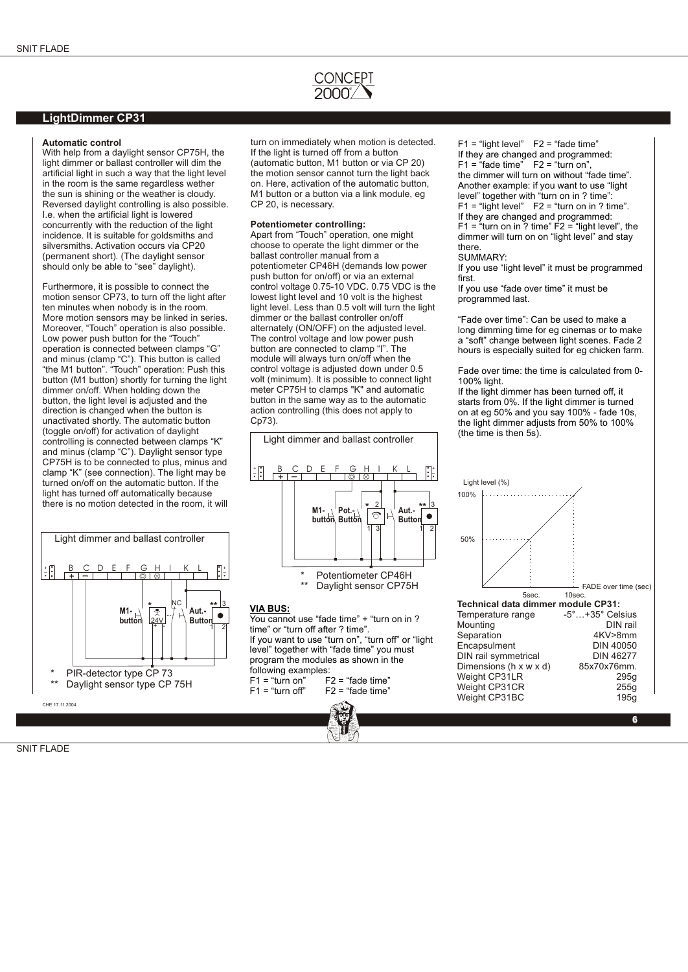### **LightDimmer CP31**

#### **Automatic control**

With help from a daylight sensor CP75H, the light dimmer or ballast controller will dim the artificial light in such a way that the light level in the room is the same regardless wether the sun is shining or the weather is cloudy. Reversed daylight controlling is also possible. I.e. when the artificial light is lowered concurrently with the reduction of the light incidence. It is suitable for goldsmiths and silversmiths. Activation occurs via CP20 (permanent short). (The daylight sensor should only be able to "see" daylight).

Furthermore, it is possible to connect the motion sensor CP73, to turn off the light after ten minutes when nobody is in the room. More motion sensors may be linked in series. Moreover, "Touch" operation is also possible. Low power push button for the "Touch" operation is connected between clamps "G" and minus (clamp "C"). This button is called "the M1 button". "Touch" operation: Push this button (M1 button) shortly for turning the light dimmer on/off. When holding down the button, the light level is adjusted and the direction is changed when the button is unactivated shortly. The automatic button (toggle on/off) for activation of daylight controlling is connected between clamps "K" and minus (clamp "C"). Daylight sensor type CP75H is to be connected to plus, minus and clamp "K" (see connection). The light may be turned on/off on the automatic button. If the light has turned off automatically because there is no motion detected in the room, it will



turn on immediately when motion is detected. If the light is turned off from a button (automatic button, M1 button or via CP 20) the motion sensor cannot turn the light back on. Here, activation of the automatic button, M1 button or a button via a link module, eg CP 20, is necessary.

#### **Potentiometer controlling:**

Apart from "Touch" operation, one might choose to operate the light dimmer or the ballast controller manual from a potentiometer CP46H (demands low power push button for on/off) or via an external control voltage 0.75-10 VDC. 0.75 VDC is the lowest light level and 10 volt is the highest light level. Less than 0.5 volt will turn the light dimmer or the ballast controller on/off alternately (ON/OFF) on the adjusted level. The control voltage and low power push button are connected to clamp "I". The module will always turn on/off when the control voltage is adjusted down under 0.5 volt (minimum). It is possible to connect light meter CP75H to clamps "K" and automatic button in the same way as to the automatic action controlling (this does not apply to Cp73).



#### **VIA BUS:**

You cannot use "fade time" + "turn on in ? time" or "turn off after ? time". If you want to use "turn on", "turn off" or "light level" together with "fade time" you must program the modules as shown in the following examples:<br>F1 = "turn on" F  $F1 = "turn on"$   $F2 = "fade time"$ <br> $F1 = "turn off"$   $F2 = "fade time"$  $F2$  = "fade time"

 $F1$  = "light level"  $F2$  = "fade time" If they are changed and programmed:  $F1 =$ "fade time"  $F2 =$ "turn on", the dimmer will turn on without "fade time". Another example: if you want to use "light level" together with "turn on in ? time":  $F1 = "light level"$   $F2 = "turn on in ? time".$ If they are changed and programmed: F1 = "turn on in ? time"  $F2$  = "light level", the dimmer will turn on on "light level" and stay there.

#### SUMMARY:

If you use "light level" it must be programmed first.

If you use "fade over time" it must be programmed last.

"Fade over time": Can be used to make a long dimming time for eg cinemas or to make a "soft" change between light scenes. Fade 2 hours is especially suited for eg chicken farm.

Fade over time: the time is calculated from 0- 100% light.

If the light dimmer has been turned off, it starts from 0%. If the light dimmer is turned on at eg 50% and you say 100% - fade 10s, the light dimmer adjusts from 50% to 100% (the time is then 5s).

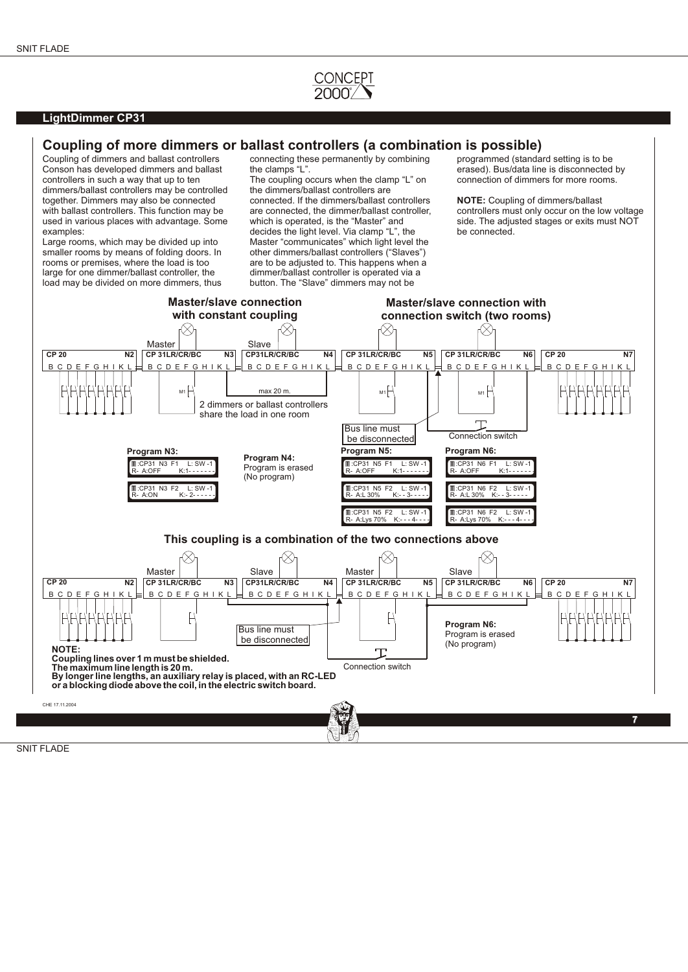

### **LightDimmer CP31**

## **Coupling of more dimmers or ballast controllers (a combination is possible)**

Conson has developed dimmers and ballast controllers in such a way that up to ten The coupling occurs when the clamp "L" on connection of dimmers for more rooms. dimmers/ballast controllers may be controlled the dimmers/ballast controllers are<br>together. Dimmers may also be connected connected. If the dimmers/ballast controllers together. Dimmers may also be connected connected. If the dimmers/ballast controllers **NOTE:** Coupling of dimmers/ballast with ballast controllers. This function may be are connected, the dimmer/ballast controller. control used in various places with advantage. Some which is operated, is the "Master" and side. The adju<br>examples:<br>decides the light level Via clamp "I" the be connected

smaller rooms by means of folding doors. In rooms or premises, where the load is too rooms or premises, where the load is too are to be adjusted to. This happens when a large for one dimmer/ballast controller. the dimmer/ballast controller is operated via a load may be divided on more dimmers, thus

Coupling of dimmers and ballast controllers connecting these permanently by combining programmed (standard setting is to be conson has developed dimmers and ballast the clamps "L".

examples:<br>
Large rooms, which may be divided up into Master "communicates" which light level Master "communicates" which light level the other dimmers/ballast controllers ("Slaves") dimmer/ballast controller is operated via a<br>button. The "Slave" dimmers may not be

are connected, the dimmer/ballast controller, controllers must only occur on the low voltage<br>which is operated, is the "Master" and side. The adjusted stages or exits must NOT

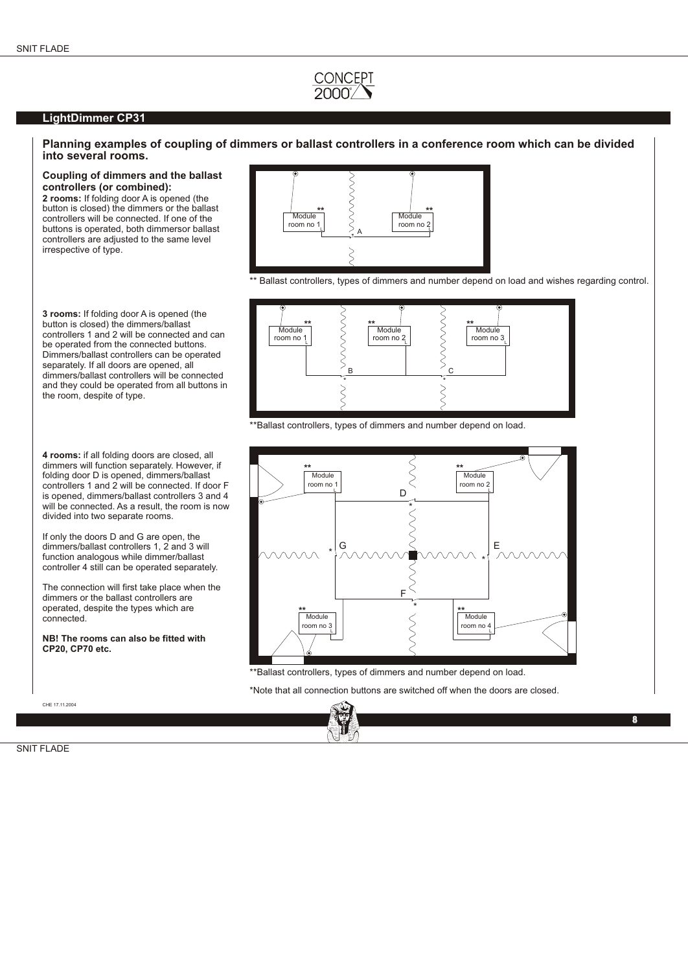### **LightDimmer CP31**

### **Planning examples of coupling of dimmers or ballast controllers in a conference room which can be divided into several rooms.**

**Coupling of dimmers and the ballast controllers (or combined):**

**2 rooms:** If folding door A is opened (the button is closed) the dimmers or the ballast controllers will be connected. If one of the buttons is operated, both dimmersor ballast controllers are adjusted to the same level irrespective of type.

**3 rooms:** If folding door A is opened (the button is closed) the dimmers/ballast controllers 1 and 2 will be connected and can be operated from the connected buttons. Dimmers/ballast controllers can be operated separately. If all doors are opened, all dimmers/ballast controllers will be connected and they could be operated from all buttons in the room, despite of type.

**4 rooms:** if all folding doors are closed, all dimmers will function separately. However, if folding door D is opened, dimmers/ballast controllers 1 and 2 will be connected. If door F is opened, dimmers/ballast controllers 3 and 4 will be connected. As a result, the room is now divided into two separate rooms.

If only the doors D and G are open, the dimmers/ballast controllers 1, 2 and 3 will function analogous while dimmer/ballast controller 4 still can be operated separately.

The connection will first take place when the dimmers or the ballast controllers are operated, despite the types which are connected.

**NB! The rooms can also be fitted with CP20, CP70 etc.**

CHE 17.11.2004



\*\* Ballast controllers, types of dimmers and number depend on load and wishes regarding control.



\*\*Ballast controllers, types of dimmers and number depend on load.



\*\*Ballast controllers, types of dimmers and number depend on load.

\*Note that all connection buttons are switched off when the doors are closed.



2.03 **8**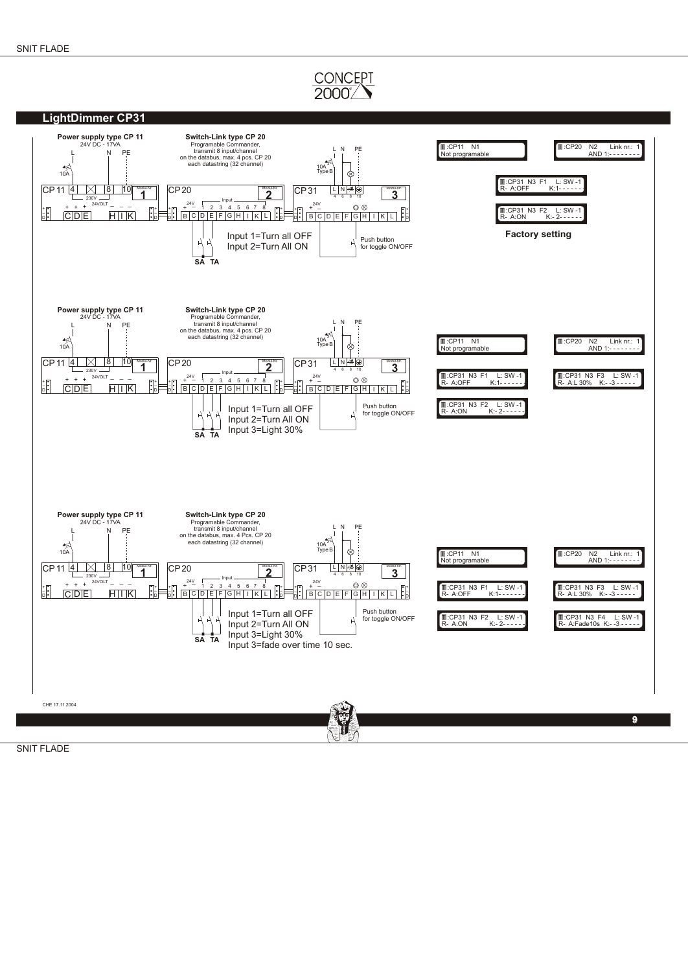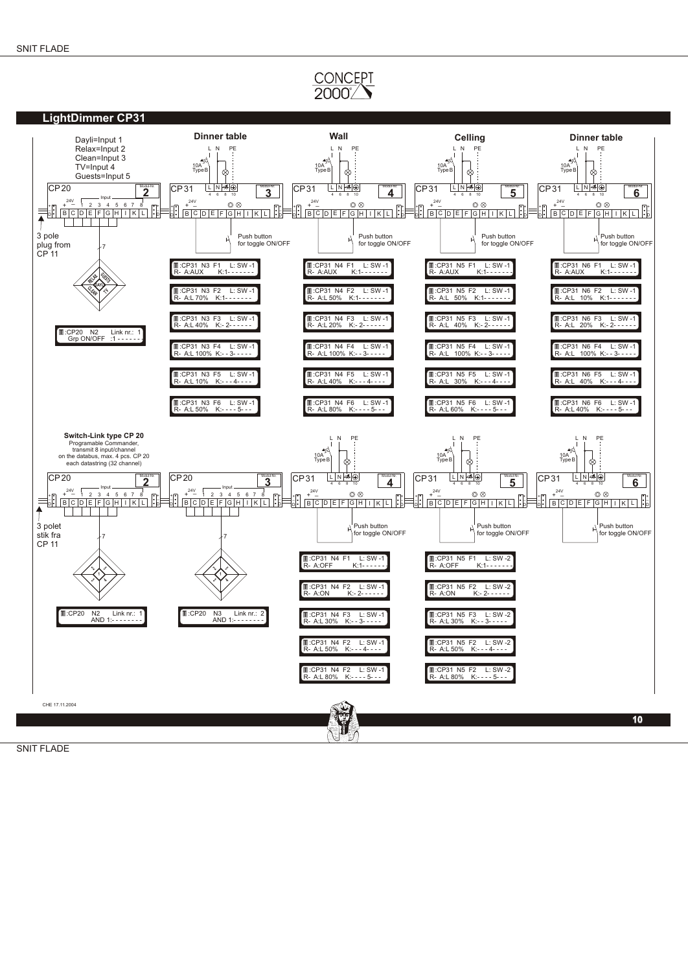

SNIT FLADE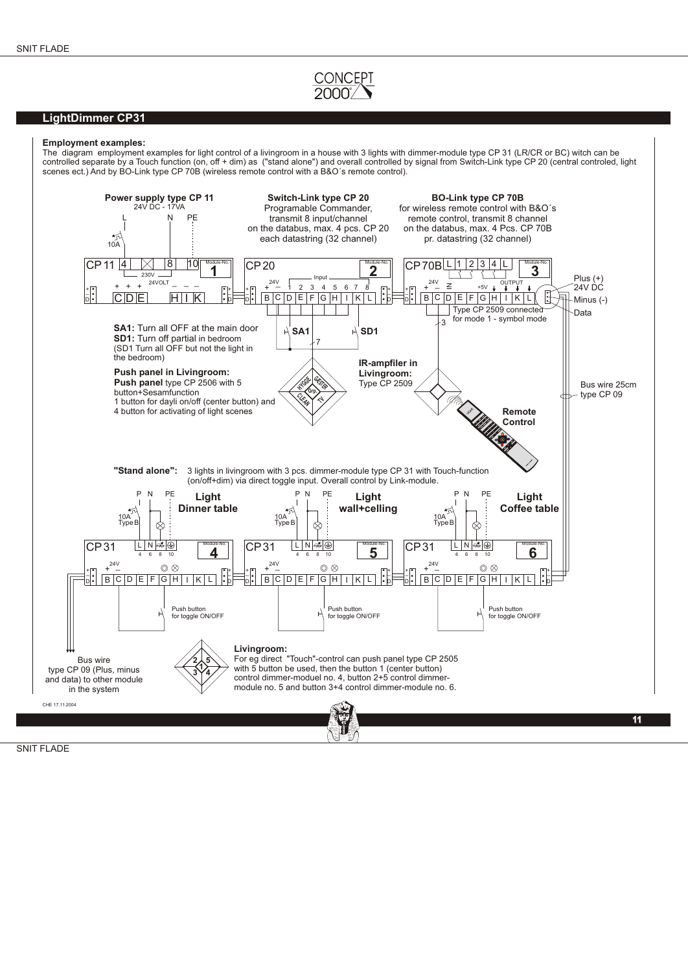### **LightDimmer CP31**

#### **Employment examples:**

The diagram employment examples for light control of a livingroom in a house with 3 lights with dimmer-module type CP 31 (LR/CR or BC) witch can be controlled separate by a Touch function (on, off + dim) as ("stand alone") and overall controlled by signal from Switch-Link type CP 20 (central controled, light scenes ect.) And by BO-Link type CP 70B (wireless remote control with a B&O´s remote control).

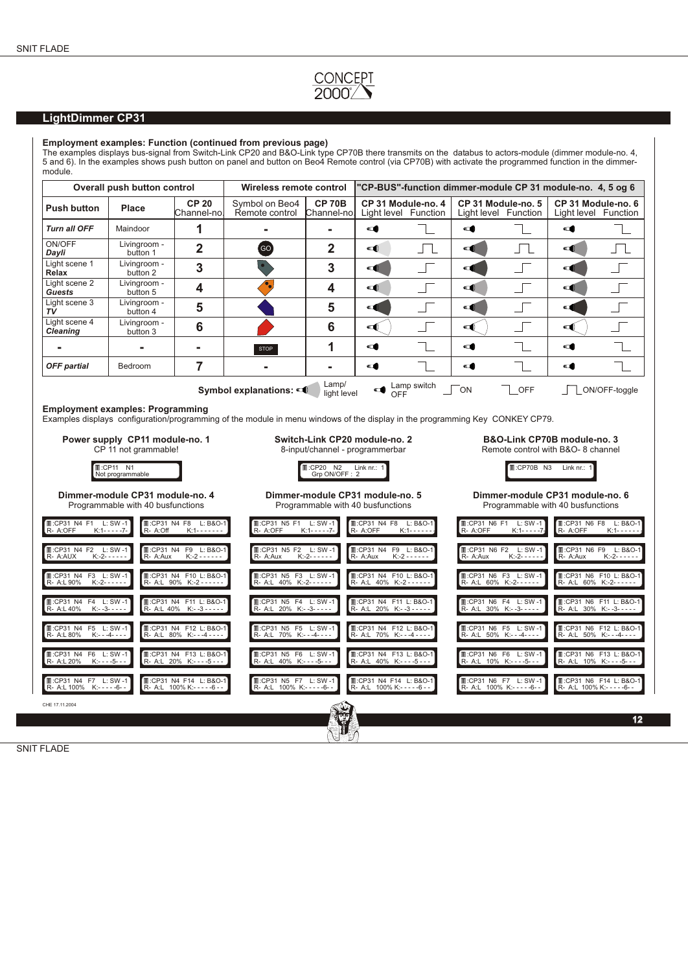# CONCEPT<br>2000

## **LightDimmer CP31**

#### **Employment examples: Function (continued from previous page)**

The examples displays bus-signal from Switch-Link CP20 and B&O-Link type CP70B there transmits on the databus to actors-module (dimmer module-no. 4, 5 and 6). In the examples shows push button on panel and button on Beo4 Remote control (via CP70B) with activate the programmed function in the dimmermodule.

| Overall push button control<br>Wireless remote control                                         |                                                                               | "CP-BUS"-function dimmer-module CP 31 module-no. 4, 5 og 6      |                                                   |                                                                                                                                              |                                                                 |                                            |                                                                                                                                   |                                                                                                 |                        |                                                             |  |
|------------------------------------------------------------------------------------------------|-------------------------------------------------------------------------------|-----------------------------------------------------------------|---------------------------------------------------|----------------------------------------------------------------------------------------------------------------------------------------------|-----------------------------------------------------------------|--------------------------------------------|-----------------------------------------------------------------------------------------------------------------------------------|-------------------------------------------------------------------------------------------------|------------------------|-------------------------------------------------------------|--|
| <b>Push button</b>                                                                             | Place                                                                         | <b>CP 20</b><br>Channel-no.                                     | Symbol on Beo4<br>Remote control                  | <b>CP 70B</b><br>Channel-nol                                                                                                                 |                                                                 | CP 31 Module-no. 4<br>Light level Function |                                                                                                                                   | CP 31 Module-no. 5<br>Light level Function                                                      |                        | CP 31 Module-no. 6<br>Light level Function                  |  |
| <b>Turn all OFF</b>                                                                            | Maindoor                                                                      | 1                                                               |                                                   |                                                                                                                                              | $\blacksquare$                                                  |                                            | $\blacksquare$                                                                                                                    |                                                                                                 | $\blacksquare$         |                                                             |  |
| ON/OFF<br>Dayli                                                                                | Livingroom -<br>button 1                                                      | $\overline{2}$                                                  | GO                                                | $\overline{2}$                                                                                                                               | $\blacksquare$                                                  | 几                                          | $\blacksquare$                                                                                                                    | 几                                                                                               | d                      | 几                                                           |  |
| Light scene 1<br>Relax                                                                         | Livingroom -<br>button 2                                                      | 3                                                               |                                                   | 3                                                                                                                                            | $\blacksquare$                                                  |                                            | $\blacksquare$                                                                                                                    |                                                                                                 | $\blacksquare$         |                                                             |  |
| Light scene 2<br>Guests                                                                        | Livingroom -<br>button 5                                                      | 4                                                               | $\bullet$                                         | 4                                                                                                                                            | $\blacksquare$                                                  | $\sqrt{2}$                                 | $\blacksquare$                                                                                                                    |                                                                                                 | $\blacksquare$         |                                                             |  |
| Light scene 3<br>TV                                                                            | Livingroom -<br>button 4                                                      | 5                                                               |                                                   | 5                                                                                                                                            | q                                                               | $\Box$                                     | $\blacksquare$                                                                                                                    |                                                                                                 | d                      |                                                             |  |
| Light scene 4<br><b>Cleaning</b>                                                               | Livingroom -<br>button 3                                                      | $6\phantom{1}6$                                                 |                                                   | 6                                                                                                                                            | ◅                                                               |                                            | ◀                                                                                                                                 |                                                                                                 | $\blacksquare$         |                                                             |  |
|                                                                                                |                                                                               | ۰                                                               | <b>STOP</b>                                       | 1                                                                                                                                            | đ                                                               |                                            | d                                                                                                                                 |                                                                                                 | $\blacksquare$         |                                                             |  |
| <b>OFF</b> partial                                                                             | Bedroom                                                                       | 7                                                               |                                                   | ۰                                                                                                                                            | œ                                                               |                                            | œ                                                                                                                                 |                                                                                                 | d                      |                                                             |  |
|                                                                                                |                                                                               |                                                                 | Symbol explanations:                              | Lamp/<br>light level                                                                                                                         | $\blacksquare$                                                  | Lamp switch<br>OFF                         | ŌN                                                                                                                                | OFF                                                                                             |                        | ON/OFF-toggle                                               |  |
| Power supply CP11 module-no. 1<br>CP 11 not grammable!<br><b>T:CP11 N1</b><br>Not programmable |                                                                               |                                                                 |                                                   | Switch-Link CP20 module-no. 2<br>8-input/channel - programmerbar<br><b>II</b> :CP20 N2<br>Link nr.: 1<br>Grp ON/OFF: 2                       |                                                                 |                                            |                                                                                                                                   | B&O-Link CP70B module-no. 3<br>Remote control with B&O- 8 channel<br>II:CP70B N3<br>Link nr.: 1 |                        |                                                             |  |
| Dimmer-module CP31 module-no. 4<br>Programmable with 40 busfunctions                           |                                                                               |                                                                 |                                                   | Dimmer-module CP31 module-no. 5<br>Dimmer-module CP31 module-no. 6<br>Programmable with 40 busfunctions<br>Programmable with 40 busfunctions |                                                                 |                                            |                                                                                                                                   |                                                                                                 |                        |                                                             |  |
| R- A:OFF                                                                                       | T:CP31 N4 F8 L: B&O-1<br>L:CP31 N4 F1 L:SW-1<br>$K:1 - - - - -7-$<br>R- A:Off |                                                                 |                                                   | I :CP31 N4 F8 L: B&O-1<br>II:CP31 N5 F1 L: SW-1<br>R- A:OFF<br>R- A:OFF<br>$K:1 - - - - -7 -$<br>$K:1 - - - - -$                             |                                                                 |                                            | <b>I</b> .CP31 N6 F8 L: B&O-1<br><b>T:CP31 N6 F1</b><br>$L: SW -1$<br>R- A:OFF<br>R- A:OFF<br>$K:1 - - - - -7$<br>$K:1 - - - - -$ |                                                                                                 |                        |                                                             |  |
| L: CP31 N4 F2 L: SW-1<br>R- A:AUX                                                              | R- A:Aux<br>$K:-2------$                                                      | II:CP31 N4 F9 L: B&O-1<br>$K: -2 - - - - - -$                   | III: CP31 N5 F2 L: SW-1<br>R- A:Aux               | $K:-2------$                                                                                                                                 | I :CP31 N4 F9 L: B&O-1<br>R- A:Aux                              | $K: -2 - - - - - -$                        | R- A:Aux                                                                                                                          | III: CP31 N6 F2 L: SW-1<br>$K:-2----$                                                           | R- A:Aux               | L: CP31 N6 F9 L: B&O-1<br>$K:-2------$                      |  |
| <b>II:CP31 N4 F3 L: SW-1</b><br>R- A:L 90%                                                     | $K:-2-----$                                                                   | I :CP31 N4 F10 L: B&O-1<br>R- A:L 90% K:-2 - - - - -            | II:CP31 N5 F3 L: SW-1<br>R- A:L 40% K:-2------    |                                                                                                                                              | <b>II:CP31 N4 F10 L: B&amp;O-1</b><br>R- A:L 40% K:-2 - - - - - |                                            |                                                                                                                                   | <b>II:CP31 N6 F3 L: SW-1</b><br>R- A:L 60% K:-2------                                           |                        | <b>II:CP31 N6 F10 L: B&amp;O-1</b><br>R- A:L 60% K:-2------ |  |
| T:CP31 N4 F4 L:SW-1<br>R- A:L 40%                                                              | $K:-3---$                                                                     | <b>T:CP31 N4 F11 L: B&amp;O-1</b><br>R- A:L 40% K:--3 - - - - - | IL:CP31 N5 F4 L:SW-1<br>R- A:L 20% K:--3-----     |                                                                                                                                              | IL:CP31 N4 F11 L: B&O-1<br>R- A:L 20% K:--3 - - - - -           |                                            |                                                                                                                                   | <b>T:CP31 N6 F4 L: SW-1</b><br>R- A:L 30% K:--3-----                                            |                        | II:CP31 N6 F11 L: B&O-1<br>R- A:L 30% K:--3-----            |  |
| L: CP31 N4 F5 L: SW-1<br>R- A:L 80%                                                            | $K:- -4- - -$                                                                 | II:CP31 N4 F12 L: B&O-1<br>R- A:L 80% K:---4----                | III: CP31 N5 F5 L: SW-1<br>R- A:L 70% K:---4----  |                                                                                                                                              | II:CP31 N4 F12 L: B&O-1<br>R- A:L 70% K:---4----                |                                            |                                                                                                                                   | <b>Ⅱ:CP31 N6 F5 L: SW-1</b><br>R- A:L 50% K:---4----                                            |                        | <b>Ⅱ:CP31 N6 F12 L: B&amp;O-1</b><br>R- A:L 50% K:---4----  |  |
| II:CP31 N4 F6 L:SW-1<br>R- A:L 20%                                                             | $K: - -5 - -$                                                                 | II:CP31 N4 F13 L:B&O-1<br>R- A:L 20% K:----5---                 | III:CP31 N5 F6 L: SW-1<br>R- A:L 40% K:----5---   |                                                                                                                                              | III: CP31 N4 F13 L: B&O-1<br>R- A: L 40% K: - - - - 5 - - -     |                                            |                                                                                                                                   | II:CP31 N6 F6 L:SW-1<br>R- A:L 10% K:----5---                                                   |                        | I :CP31 N6 F13 L: B&O-1<br>R- A:L 10% K:----5---            |  |
| L:CP31 N4 F7 L:SW-1<br>R- A:L 100% K:-----6--                                                  |                                                                               | II: CP31 N4 F14 L: B&O-1<br>R- A:L 100% K:-----6--              | III: CP31 N5 F7 L: SW-1<br>R- A:L 100% K:-----6-- |                                                                                                                                              | II: CP31 N4 F14 L: B&O-1<br>R- A:L 100% K:-----6--              |                                            |                                                                                                                                   | <b>T:CP31 N6 F7 L: SW-1</b><br>R- A:L 100% K:-----6--                                           | R- A:L 100% K:-----6-- | II:CP31 N6 F14 L: B&O-1                                     |  |
| CHE 17.11.2004                                                                                 |                                                                               |                                                                 |                                                   |                                                                                                                                              |                                                                 |                                            |                                                                                                                                   |                                                                                                 |                        |                                                             |  |
|                                                                                                |                                                                               |                                                                 |                                                   |                                                                                                                                              |                                                                 |                                            |                                                                                                                                   |                                                                                                 |                        | 12 <sub>2</sub>                                             |  |